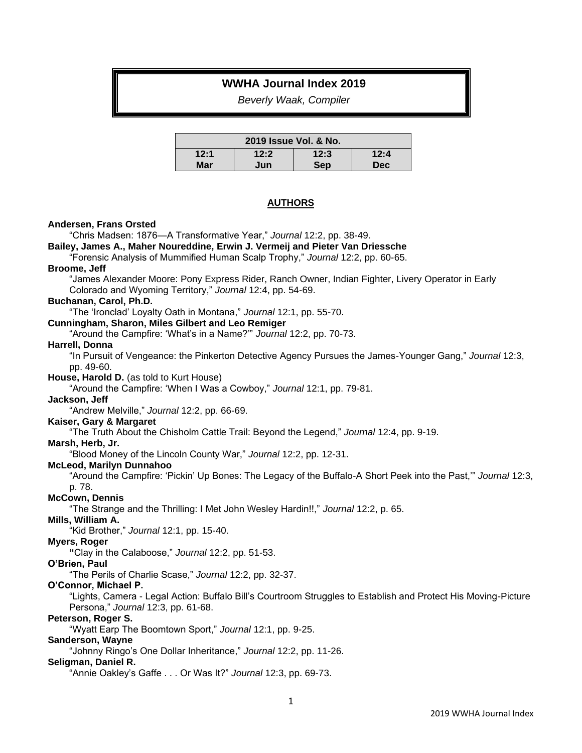# **WWHA Journal Index 2019**

*Beverly Waak, Compiler*

| 2019 Issue Vol. & No. |      |      |            |
|-----------------------|------|------|------------|
| 12:1                  | 12:2 | 12:3 | 12:4       |
| Mar                   | Jun  | Sep  | <b>Dec</b> |

### **AUTHORS**

#### **Andersen, Frans Orsted**

"Chris Madsen: 1876—A Transformative Year," *Journal* 12:2, pp. 38-49. **Bailey, James A., Maher Noureddine, Erwin J. Vermeij and Pieter Van Driessche** "Forensic Analysis of Mummified Human Scalp Trophy," *Journal* 12:2, pp. 60-65. **Broome, Jeff** "James Alexander Moore: Pony Express Rider, Ranch Owner, Indian Fighter, Livery Operator in Early Colorado and Wyoming Territory," *Journal* 12:4, pp. 54-69. **Buchanan, Carol, Ph.D.** "The 'Ironclad' Loyalty Oath in Montana," *Journal* 12:1, pp. 55-70. **Cunningham, Sharon, Miles Gilbert and Leo Remiger** "Around the Campfire: 'What's in a Name?'" *Journal* 12:2, pp. 70-73. **Harrell, Donna** "In Pursuit of Vengeance: the Pinkerton Detective Agency Pursues the James-Younger Gang," *Journal* 12:3, pp. 49-60. **House, Harold D.** (as told to Kurt House) "Around the Campfire: 'When I Was a Cowboy," *Journal* 12:1, pp. 79-81. **Jackson, Jeff** "Andrew Melville," *Journal* 12:2, pp. 66-69. **Kaiser, Gary & Margaret** "The Truth About the Chisholm Cattle Trail: Beyond the Legend," *Journal* 12:4, pp. 9-19. **Marsh, Herb, Jr.** "Blood Money of the Lincoln County War," *Journal* 12:2, pp. 12-31. **McLeod, Marilyn Dunnahoo** "Around the Campfire: 'Pickin' Up Bones: The Legacy of the Buffalo-A Short Peek into the Past,'" *Journal* 12:3, p. 78. **McCown, Dennis** "The Strange and the Thrilling: I Met John Wesley Hardin!!," *Journal* 12:2, p. 65. **Mills, William A.** "Kid Brother," *Journal* 12:1, pp. 15-40. **Myers, Roger "**Clay in the Calaboose," *Journal* 12:2, pp. 51-53. **O'Brien, Paul** "The Perils of Charlie Scase," *Journal* 12:2, pp. 32-37. **O'Connor, Michael P.** "Lights, Camera - Legal Action: Buffalo Bill's Courtroom Struggles to Establish and Protect His Moving-Picture Persona," *Journal* 12:3, pp. 61-68. **Peterson, Roger S.**

"Wyatt Earp The Boomtown Sport," *Journal* 12:1, pp. 9-25.

# **Sanderson, Wayne**

"Johnny Ringo's One Dollar Inheritance," *Journal* 12:2, pp. 11-26.

#### **Seligman, Daniel R.**

"Annie Oakley's Gaffe . . . Or Was It?" *Journal* 12:3, pp. 69-73.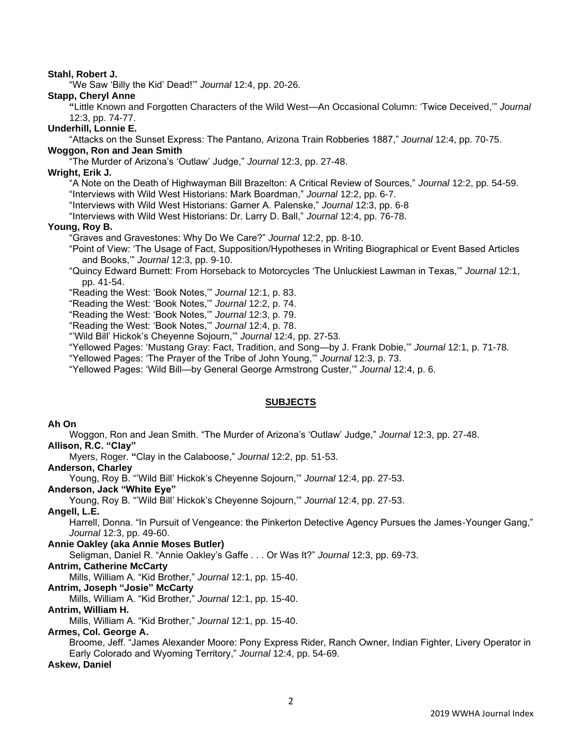# **Stahl, Robert J.**

"We Saw 'Billy the Kid' Dead!'" *Journal* 12:4, pp. 20-26.

#### **Stapp, Cheryl Anne**

**"**Little Known and Forgotten Characters of the Wild West—An Occasional Column: 'Twice Deceived,'" *Journal*  12:3, pp. 74-77.

# **Underhill, Lonnie E.**

"Attacks on the Sunset Express: The Pantano, Arizona Train Robberies 1887," *Journal* 12:4, pp. 70-75.

# **Woggon, Ron and Jean Smith**

"The Murder of Arizona's 'Outlaw' Judge," *Journal* 12:3, pp. 27-48.

# **Wright, Erik J.**

"A Note on the Death of Highwayman Bill Brazelton: A Critical Review of Sources," *Journal* 12:2, pp. 54-59. "Interviews with Wild West Historians: Mark Boardman," *Journal* 12:2, pp. 6-7.

"Interviews with Wild West Historians: Garner A. Palenske," *Journal* 12:3, pp. 6-8

"Interviews with Wild West Historians: Dr. Larry D. Ball," *Journal* 12:4, pp. 76-78.

### **Young, Roy B.**

"Graves and Gravestones: Why Do We Care?" *Journal* 12:2, pp. 8-10.

"Point of View: 'The Usage of Fact, Supposition/Hypotheses in Writing Biographical or Event Based Articles and Books,'" *Journal* 12:3, pp. 9-10.

"Quincy Edward Burnett: From Horseback to Motorcycles 'The Unluckiest Lawman in Texas,'" *Journal* 12:1, pp. 41-54.

"Reading the West: 'Book Notes,'" *Journal* 12:1, p. 83.

"Reading the West: 'Book Notes,'" *Journal* 12:2, p. 74.

"Reading the West: 'Book Notes,'" *Journal* 12:3, p. 79.

"Reading the West: 'Book Notes,'" *Journal* 12:4, p. 78.

"'Wild Bill' Hickok's Cheyenne Sojourn,'" *Journal* 12:4, pp. 27-53.

"Yellowed Pages: 'Mustang Gray: Fact, Tradition, and Song—by J. Frank Dobie,'" *Journal* 12:1, p. 71-78.

"Yellowed Pages: 'The Prayer of the Tribe of John Young,'" *Journal* 12:3, p. 73.

"Yellowed Pages: 'Wild Bill—by General George Armstrong Custer,'" *Journal* 12:4, p. 6.

# **SUBJECTS**

# **Ah On**

Woggon, Ron and Jean Smith. "The Murder of Arizona's 'Outlaw' Judge," *Journal* 12:3, pp. 27-48.

# **Allison, R.C. "Clay"**

Myers, Roger. **"**Clay in the Calaboose," *Journal* 12:2, pp. 51-53.

# **Anderson, Charley**

Young, Roy B. "'Wild Bill' Hickok's Cheyenne Sojourn,'" *Journal* 12:4, pp. 27-53.

### **Anderson, Jack "White Eye"**

Young, Roy B. "'Wild Bill' Hickok's Cheyenne Sojourn,'" *Journal* 12:4, pp. 27-53.

#### **Angell, L.E.**

Harrell, Donna. "In Pursuit of Vengeance: the Pinkerton Detective Agency Pursues the James-Younger Gang," *Journal* 12:3, pp. 49-60.

#### **Annie Oakley (aka Annie Moses Butler)**

Seligman, Daniel R. "Annie Oakley's Gaffe . . . Or Was It?" *Journal* 12:3, pp. 69-73.

# **Antrim, Catherine McCarty**

Mills, William A. "Kid Brother," *Journal* 12:1, pp. 15-40.

# **Antrim, Joseph "Josie" McCarty**

Mills, William A. "Kid Brother," *Journal* 12:1, pp. 15-40.

#### **Antrim, William H.**

Mills, William A. "Kid Brother," *Journal* 12:1, pp. 15-40.

#### **Armes, Col. George A.**

Broome, Jeff. "James Alexander Moore: Pony Express Rider, Ranch Owner, Indian Fighter, Livery Operator in Early Colorado and Wyoming Territory," *Journal* 12:4, pp. 54-69.

# **Askew, Daniel**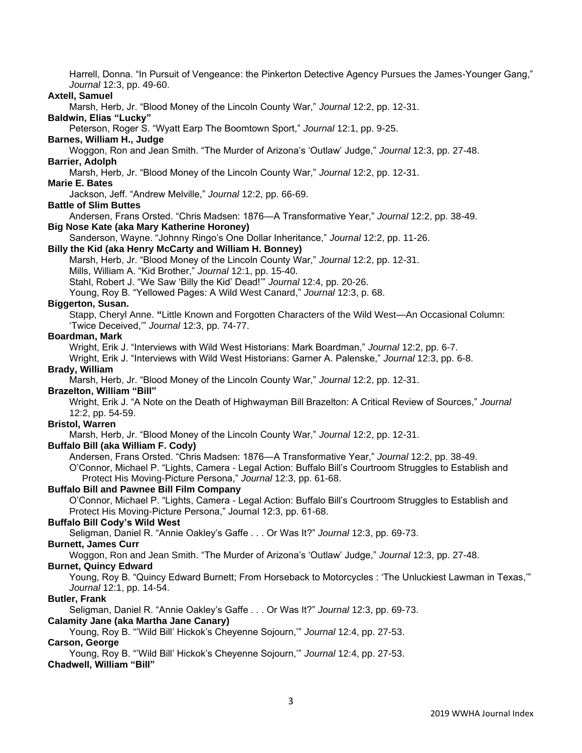Harrell, Donna. "In Pursuit of Vengeance: the Pinkerton Detective Agency Pursues the James-Younger Gang," *Journal* 12:3, pp. 49-60.

# **Axtell, Samuel**

Marsh, Herb, Jr. "Blood Money of the Lincoln County War," *Journal* 12:2, pp. 12-31.

# **Baldwin, Elias "Lucky"**

Peterson, Roger S. "Wyatt Earp The Boomtown Sport," *Journal* 12:1, pp. 9-25.

**Barnes, William H., Judge**

Woggon, Ron and Jean Smith. "The Murder of Arizona's 'Outlaw' Judge," *Journal* 12:3, pp. 27-48. **Barrier, Adolph**

Marsh, Herb, Jr. "Blood Money of the Lincoln County War," *Journal* 12:2, pp. 12-31.

### **Marie E. Bates**

Jackson, Jeff. "Andrew Melville," *Journal* 12:2, pp. 66-69.

#### **Battle of Slim Buttes**

Andersen, Frans Orsted. "Chris Madsen: 1876—A Transformative Year," *Journal* 12:2, pp. 38-49.

# **Big Nose Kate (aka Mary Katherine Horoney)**

Sanderson, Wayne. "Johnny Ringo's One Dollar Inheritance," *Journal* 12:2, pp. 11-26.

### **Billy the Kid (aka Henry McCarty and William H. Bonney)**

Marsh, Herb, Jr. "Blood Money of the Lincoln County War," *Journal* 12:2, pp. 12-31.

Mills, William A. "Kid Brother," *Journal* 12:1, pp. 15-40.

Stahl, Robert J. "We Saw 'Billy the Kid' Dead!'" *Journal* 12:4, pp. 20-26.

Young, Roy B. "Yellowed Pages: A Wild West Canard," *Journal* 12:3, p. 68.

# **Biggerton, Susan.**

Stapp, Cheryl Anne. **"**Little Known and Forgotten Characters of the Wild West—An Occasional Column: 'Twice Deceived,'" *Journal* 12:3, pp. 74-77.

# **Boardman, Mark**

Wright, Erik J. "Interviews with Wild West Historians: Mark Boardman," *Journal* 12:2, pp. 6-7.

Wright, Erik J. "Interviews with Wild West Historians: Garner A. Palenske," *Journal* 12:3, pp. 6-8. **Brady, William**

Marsh, Herb, Jr. "Blood Money of the Lincoln County War," *Journal* 12:2, pp. 12-31.

#### **Brazelton, William "Bill"**

Wright, Erik J. "A Note on the Death of Highwayman Bill Brazelton: A Critical Review of Sources," *Journal* 12:2, pp. 54-59.

# **Bristol, Warren**

Marsh, Herb, Jr. "Blood Money of the Lincoln County War," *Journal* 12:2, pp. 12-31.

#### **Buffalo Bill (aka William F. Cody)**

Andersen, Frans Orsted. "Chris Madsen: 1876—A Transformative Year," *Journal* 12:2, pp. 38-49.

O'Connor, Michael P. "Lights, Camera - Legal Action: Buffalo Bill's Courtroom Struggles to Establish and Protect His Moving-Picture Persona," *Journal* 12:3, pp. 61-68.

# **Buffalo Bill and Pawnee Bill Film Company**

O'Connor, Michael P. "Lights, Camera - Legal Action: Buffalo Bill's Courtroom Struggles to Establish and Protect His Moving-Picture Persona," Journal 12:3, pp. 61-68.

# **Buffalo Bill Cody's Wild West**

Seligman, Daniel R. "Annie Oakley's Gaffe . . . Or Was It?" *Journal* 12:3, pp. 69-73.

### **Burnett, James Curr**

Woggon, Ron and Jean Smith. "The Murder of Arizona's 'Outlaw' Judge," *Journal* 12:3, pp. 27-48.

#### **Burnet, Quincy Edward**

Young, Roy B. "Quincy Edward Burnett; From Horseback to Motorcycles : 'The Unluckiest Lawman in Texas,'" *Journal* 12:1, pp. 14-54.

# **Butler, Frank**

Seligman, Daniel R. "Annie Oakley's Gaffe . . . Or Was It?" *Journal* 12:3, pp. 69-73.

# **Calamity Jane (aka Martha Jane Canary)**

Young, Roy B. "'Wild Bill' Hickok's Cheyenne Sojourn,'" *Journal* 12:4, pp. 27-53. **Carson, George**

Young, Roy B. "'Wild Bill' Hickok's Cheyenne Sojourn,'" *Journal* 12:4, pp. 27-53. **Chadwell, William "Bill"**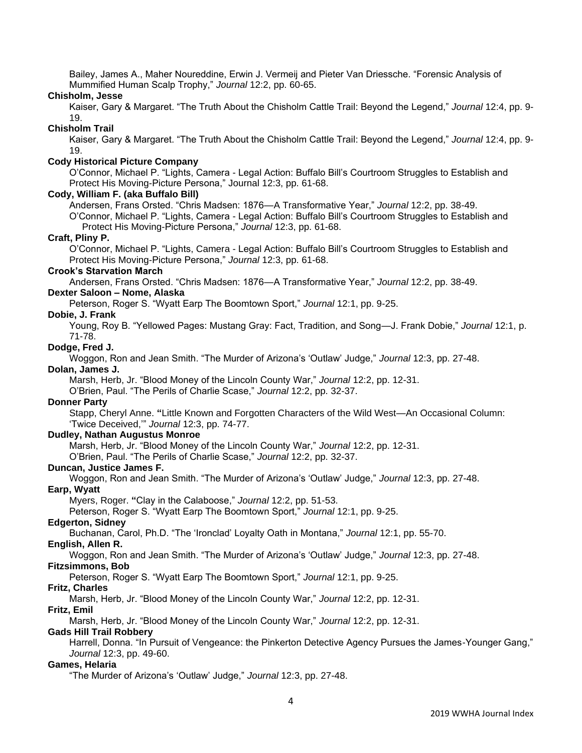Bailey, James A., Maher Noureddine, Erwin J. Vermeij and Pieter Van Driessche. "Forensic Analysis of Mummified Human Scalp Trophy," *Journal* 12:2, pp. 60-65.

### **Chisholm, Jesse**

Kaiser, Gary & Margaret. "The Truth About the Chisholm Cattle Trail: Beyond the Legend," *Journal* 12:4, pp. 9- 19.

## **Chisholm Trail**

Kaiser, Gary & Margaret. "The Truth About the Chisholm Cattle Trail: Beyond the Legend," *Journal* 12:4, pp. 9- 19.

# **Cody Historical Picture Company**

O'Connor, Michael P. "Lights, Camera - Legal Action: Buffalo Bill's Courtroom Struggles to Establish and Protect His Moving-Picture Persona," Journal 12:3, pp. 61-68.

#### **Cody, William F. (aka Buffalo Bill)**

Andersen, Frans Orsted. "Chris Madsen: 1876—A Transformative Year," *Journal* 12:2, pp. 38-49.

O'Connor, Michael P. "Lights, Camera - Legal Action: Buffalo Bill's Courtroom Struggles to Establish and Protect His Moving-Picture Persona," *Journal* 12:3, pp. 61-68.

### **Craft, Pliny P.**

O'Connor, Michael P. "Lights, Camera - Legal Action: Buffalo Bill's Courtroom Struggles to Establish and Protect His Moving-Picture Persona," *Journal* 12:3, pp. 61-68.

# **Crook's Starvation March**

Andersen, Frans Orsted. "Chris Madsen: 1876—A Transformative Year," *Journal* 12:2, pp. 38-49.

# **Dexter Saloon – Nome, Alaska**

Peterson, Roger S. "Wyatt Earp The Boomtown Sport," *Journal* 12:1, pp. 9-25.

### **Dobie, J. Frank**

Young, Roy B. "Yellowed Pages: Mustang Gray: Fact, Tradition, and Song—J. Frank Dobie," *Journal* 12:1, p. 71-78.

# **Dodge, Fred J.**

Woggon, Ron and Jean Smith. "The Murder of Arizona's 'Outlaw' Judge," *Journal* 12:3, pp. 27-48.

# **Dolan, James J.**

Marsh, Herb, Jr. "Blood Money of the Lincoln County War," *Journal* 12:2, pp. 12-31.

O'Brien, Paul. "The Perils of Charlie Scase," *Journal* 12:2, pp. 32-37.

# **Donner Party**

Stapp, Cheryl Anne. **"**Little Known and Forgotten Characters of the Wild West—An Occasional Column: 'Twice Deceived,'" *Journal* 12:3, pp. 74-77.

## **Dudley, Nathan Augustus Monroe**

Marsh, Herb, Jr. "Blood Money of the Lincoln County War," *Journal* 12:2, pp. 12-31.

O'Brien, Paul. "The Perils of Charlie Scase," *Journal* 12:2, pp. 32-37.

#### **Duncan, Justice James F.**

Woggon, Ron and Jean Smith. "The Murder of Arizona's 'Outlaw' Judge," *Journal* 12:3, pp. 27-48.

#### **Earp, Wyatt**

Myers, Roger. **"**Clay in the Calaboose," *Journal* 12:2, pp. 51-53.

Peterson, Roger S. "Wyatt Earp The Boomtown Sport," *Journal* 12:1, pp. 9-25.

# **Edgerton, Sidney**

Buchanan, Carol, Ph.D. "The 'Ironclad' Loyalty Oath in Montana," *Journal* 12:1, pp. 55-70.

### **English, Allen R.**

Woggon, Ron and Jean Smith. "The Murder of Arizona's 'Outlaw' Judge," *Journal* 12:3, pp. 27-48.

# **Fitzsimmons, Bob**

Peterson, Roger S. "Wyatt Earp The Boomtown Sport," *Journal* 12:1, pp. 9-25.

#### **Fritz, Charles**

Marsh, Herb, Jr. "Blood Money of the Lincoln County War," *Journal* 12:2, pp. 12-31.

#### **Fritz, Emil**

Marsh, Herb, Jr. "Blood Money of the Lincoln County War," *Journal* 12:2, pp. 12-31.

#### **Gads Hill Trail Robbery**

Harrell, Donna. "In Pursuit of Vengeance: the Pinkerton Detective Agency Pursues the James-Younger Gang," *Journal* 12:3, pp. 49-60.

# **Games, Helaria**

"The Murder of Arizona's 'Outlaw' Judge," *Journal* 12:3, pp. 27-48.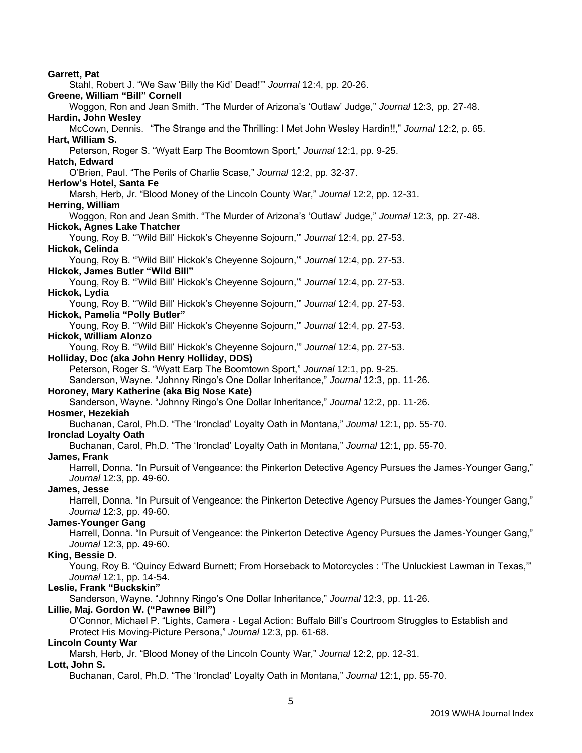5 **Garrett, Pat** Stahl, Robert J. "We Saw 'Billy the Kid' Dead!'" *Journal* 12:4, pp. 20-26. **Greene, William "Bill" Cornell** Woggon, Ron and Jean Smith. "The Murder of Arizona's 'Outlaw' Judge," *Journal* 12:3, pp. 27-48. **Hardin, John Wesley** McCown, Dennis. "The Strange and the Thrilling: I Met John Wesley Hardin!!," *Journal* 12:2, p. 65. **Hart, William S.** Peterson, Roger S. "Wyatt Earp The Boomtown Sport," *Journal* 12:1, pp. 9-25. **Hatch, Edward** O'Brien, Paul. "The Perils of Charlie Scase," *Journal* 12:2, pp. 32-37. **Herlow's Hotel, Santa Fe** Marsh, Herb, Jr. "Blood Money of the Lincoln County War," *Journal* 12:2, pp. 12-31. **Herring, William** Woggon, Ron and Jean Smith. "The Murder of Arizona's 'Outlaw' Judge," *Journal* 12:3, pp. 27-48. **Hickok, Agnes Lake Thatcher** Young, Roy B. "'Wild Bill' Hickok's Cheyenne Sojourn,'" *Journal* 12:4, pp. 27-53. **Hickok, Celinda** Young, Roy B. "'Wild Bill' Hickok's Cheyenne Sojourn,'" *Journal* 12:4, pp. 27-53. **Hickok, James Butler "Wild Bill"** Young, Roy B. "'Wild Bill' Hickok's Cheyenne Sojourn,'" *Journal* 12:4, pp. 27-53. **Hickok, Lydia** Young, Roy B. "'Wild Bill' Hickok's Cheyenne Sojourn,'" *Journal* 12:4, pp. 27-53. **Hickok, Pamelia "Polly Butler"** Young, Roy B. "'Wild Bill' Hickok's Cheyenne Sojourn,'" *Journal* 12:4, pp. 27-53. **Hickok, William Alonzo** Young, Roy B. "'Wild Bill' Hickok's Cheyenne Sojourn,'" *Journal* 12:4, pp. 27-53. **Holliday, Doc (aka John Henry Holliday, DDS)** Peterson, Roger S. "Wyatt Earp The Boomtown Sport," *Journal* 12:1, pp. 9-25. Sanderson, Wayne. "Johnny Ringo's One Dollar Inheritance," *Journal* 12:3, pp. 11-26. **Horoney, Mary Katherine (aka Big Nose Kate)**  Sanderson, Wayne. "Johnny Ringo's One Dollar Inheritance," *Journal* 12:2, pp. 11-26. **Hosmer, Hezekiah** Buchanan, Carol, Ph.D. "The 'Ironclad' Loyalty Oath in Montana," *Journal* 12:1, pp. 55-70. **Ironclad Loyalty Oath** Buchanan, Carol, Ph.D. "The 'Ironclad' Loyalty Oath in Montana," *Journal* 12:1, pp. 55-70. **James, Frank** Harrell, Donna. "In Pursuit of Vengeance: the Pinkerton Detective Agency Pursues the James-Younger Gang," *Journal* 12:3, pp. 49-60. **James, Jesse** Harrell, Donna. "In Pursuit of Vengeance: the Pinkerton Detective Agency Pursues the James-Younger Gang," *Journal* 12:3, pp. 49-60. **James-Younger Gang** Harrell, Donna. "In Pursuit of Vengeance: the Pinkerton Detective Agency Pursues the James-Younger Gang," *Journal* 12:3, pp. 49-60. **King, Bessie D.** Young, Roy B. "Quincy Edward Burnett; From Horseback to Motorcycles : 'The Unluckiest Lawman in Texas,'" *Journal* 12:1, pp. 14-54. **Leslie, Frank "Buckskin"** Sanderson, Wayne. "Johnny Ringo's One Dollar Inheritance," *Journal* 12:3, pp. 11-26. **Lillie, Maj. Gordon W. ("Pawnee Bill")** O'Connor, Michael P. "Lights, Camera - Legal Action: Buffalo Bill's Courtroom Struggles to Establish and Protect His Moving-Picture Persona," *Journal* 12:3, pp. 61-68. **Lincoln County War** Marsh, Herb, Jr. "Blood Money of the Lincoln County War," *Journal* 12:2, pp. 12-31. **Lott, John S.** Buchanan, Carol, Ph.D. "The 'Ironclad' Loyalty Oath in Montana," *Journal* 12:1, pp. 55-70.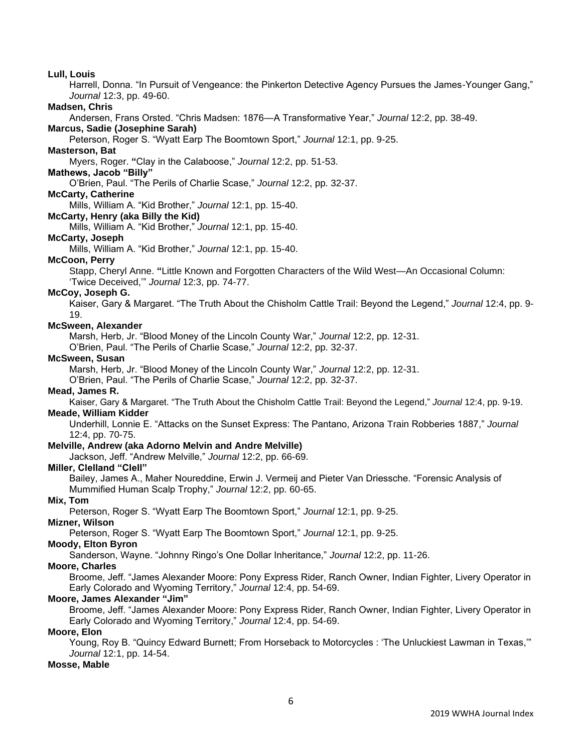#### **Lull, Louis**

Harrell, Donna. "In Pursuit of Vengeance: the Pinkerton Detective Agency Pursues the James-Younger Gang," *Journal* 12:3, pp. 49-60.

#### **Madsen, Chris**

Andersen, Frans Orsted. "Chris Madsen: 1876—A Transformative Year," *Journal* 12:2, pp. 38-49.

# **Marcus, Sadie (Josephine Sarah)**

Peterson, Roger S. "Wyatt Earp The Boomtown Sport," *Journal* 12:1, pp. 9-25.

## **Masterson, Bat**

Myers, Roger. **"**Clay in the Calaboose," *Journal* 12:2, pp. 51-53.

# **Mathews, Jacob "Billy"**

O'Brien, Paul. "The Perils of Charlie Scase," *Journal* 12:2, pp. 32-37.

# **McCarty, Catherine**

Mills, William A. "Kid Brother," *Journal* 12:1, pp. 15-40.

# **McCarty, Henry (aka Billy the Kid)**

Mills, William A. "Kid Brother," *Journal* 12:1, pp. 15-40.

### **McCarty, Joseph**

Mills, William A. "Kid Brother," *Journal* 12:1, pp. 15-40.

#### **McCoon, Perry**

Stapp, Cheryl Anne. **"**Little Known and Forgotten Characters of the Wild West—An Occasional Column: 'Twice Deceived,'" *Journal* 12:3, pp. 74-77.

#### **McCoy, Joseph G.**

Kaiser, Gary & Margaret. "The Truth About the Chisholm Cattle Trail: Beyond the Legend," *Journal* 12:4, pp. 9- 19.

#### **McSween, Alexander**

Marsh, Herb, Jr. "Blood Money of the Lincoln County War," *Journal* 12:2, pp. 12-31.

O'Brien, Paul. "The Perils of Charlie Scase," *Journal* 12:2, pp. 32-37.

#### **McSween, Susan**

Marsh, Herb, Jr. "Blood Money of the Lincoln County War," *Journal* 12:2, pp. 12-31.

O'Brien, Paul. "The Perils of Charlie Scase," *Journal* 12:2, pp. 32-37.

# **Mead, James R.**

Kaiser, Gary & Margaret. "The Truth About the Chisholm Cattle Trail: Beyond the Legend," *Journal* 12:4, pp. 9-19. **Meade, William Kidder**

Underhill, Lonnie E. "Attacks on the Sunset Express: The Pantano, Arizona Train Robberies 1887," *Journal*  12:4, pp. 70-75.

# **Melville, Andrew (aka Adorno Melvin and Andre Melville)**

Jackson, Jeff. "Andrew Melville," *Journal* 12:2, pp. 66-69.

#### **Miller, Clelland "Clell"**

Bailey, James A., Maher Noureddine, Erwin J. Vermeij and Pieter Van Driessche. "Forensic Analysis of Mummified Human Scalp Trophy," *Journal* 12:2, pp. 60-65.

#### **Mix, Tom**

Peterson, Roger S. "Wyatt Earp The Boomtown Sport," *Journal* 12:1, pp. 9-25.

# **Mizner, Wilson**

Peterson, Roger S. "Wyatt Earp The Boomtown Sport," *Journal* 12:1, pp. 9-25.

# **Moody, Elton Byron**

Sanderson, Wayne. "Johnny Ringo's One Dollar Inheritance," *Journal* 12:2, pp. 11-26.

#### **Moore, Charles**

Broome, Jeff. "James Alexander Moore: Pony Express Rider, Ranch Owner, Indian Fighter, Livery Operator in Early Colorado and Wyoming Territory," *Journal* 12:4, pp. 54-69.

## **Moore, James Alexander "Jim"**

Broome, Jeff. "James Alexander Moore: Pony Express Rider, Ranch Owner, Indian Fighter, Livery Operator in Early Colorado and Wyoming Territory," *Journal* 12:4, pp. 54-69.

### **Moore, Elon**

Young, Roy B. "Quincy Edward Burnett; From Horseback to Motorcycles : 'The Unluckiest Lawman in Texas,'" *Journal* 12:1, pp. 14-54.

# **Mosse, Mable**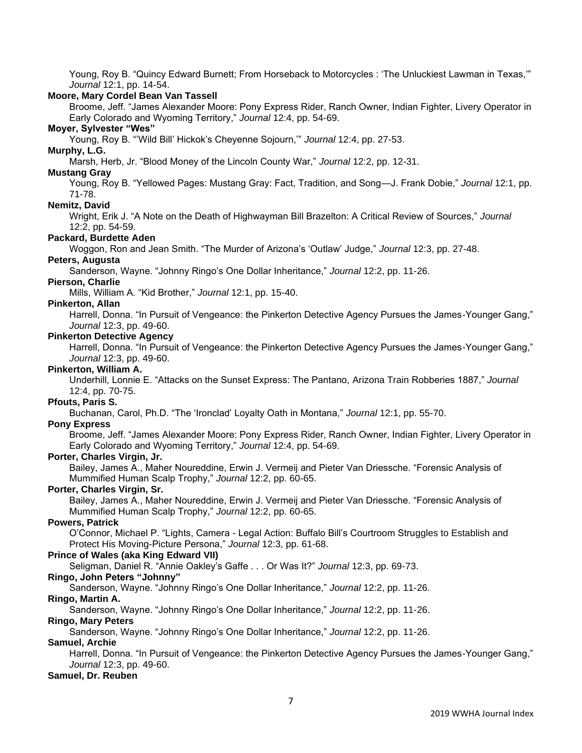Young, Roy B. "Quincy Edward Burnett; From Horseback to Motorcycles : 'The Unluckiest Lawman in Texas,'" *Journal* 12:1, pp. 14-54.

### **Moore, Mary Cordel Bean Van Tassell**

Broome, Jeff. "James Alexander Moore: Pony Express Rider, Ranch Owner, Indian Fighter, Livery Operator in Early Colorado and Wyoming Territory," *Journal* 12:4, pp. 54-69.

# **Moyer, Sylvester "Wes"**

Young, Roy B. "'Wild Bill' Hickok's Cheyenne Sojourn,'" *Journal* 12:4, pp. 27-53.

# **Murphy, L.G.**

Marsh, Herb, Jr. "Blood Money of the Lincoln County War," *Journal* 12:2, pp. 12-31.

# **Mustang Gray**

Young, Roy B. "Yellowed Pages: Mustang Gray: Fact, Tradition, and Song—J. Frank Dobie," *Journal* 12:1, pp. 71-78.

### **Nemitz, David**

Wright, Erik J. "A Note on the Death of Highwayman Bill Brazelton: A Critical Review of Sources," *Journal*  12:2, pp. 54-59.

### **Packard, Burdette Aden**

Woggon, Ron and Jean Smith. "The Murder of Arizona's 'Outlaw' Judge," *Journal* 12:3, pp. 27-48.

### **Peters, Augusta**

Sanderson, Wayne. "Johnny Ringo's One Dollar Inheritance," *Journal* 12:2, pp. 11-26.

# **Pierson, Charlie**

Mills, William A. "Kid Brother," *Journal* 12:1, pp. 15-40.

### **Pinkerton, Allan**

Harrell, Donna. "In Pursuit of Vengeance: the Pinkerton Detective Agency Pursues the James-Younger Gang," *Journal* 12:3, pp. 49-60.

# **Pinkerton Detective Agency**

Harrell, Donna. "In Pursuit of Vengeance: the Pinkerton Detective Agency Pursues the James-Younger Gang," *Journal* 12:3, pp. 49-60.

### **Pinkerton, William A.**

Underhill, Lonnie E. "Attacks on the Sunset Express: The Pantano, Arizona Train Robberies 1887," *Journal*  12:4, pp. 70-75.

# **Pfouts, Paris S.**

Buchanan, Carol, Ph.D. "The 'Ironclad' Loyalty Oath in Montana," *Journal* 12:1, pp. 55-70.

#### **Pony Express**

Broome, Jeff. "James Alexander Moore: Pony Express Rider, Ranch Owner, Indian Fighter, Livery Operator in Early Colorado and Wyoming Territory," *Journal* 12:4, pp. 54-69.

## **Porter, Charles Virgin, Jr.**

Bailey, James A., Maher Noureddine, Erwin J. Vermeij and Pieter Van Driessche. "Forensic Analysis of Mummified Human Scalp Trophy," *Journal* 12:2, pp. 60-65.

# **Porter, Charles Virgin, Sr.**

Bailey, James A., Maher Noureddine, Erwin J. Vermeij and Pieter Van Driessche. "Forensic Analysis of Mummified Human Scalp Trophy," *Journal* 12:2, pp. 60-65.

# **Powers, Patrick**

O'Connor, Michael P. "Lights, Camera - Legal Action: Buffalo Bill's Courtroom Struggles to Establish and Protect His Moving-Picture Persona," *Journal* 12:3, pp. 61-68.

# **Prince of Wales (aka King Edward VII)**

Seligman, Daniel R. "Annie Oakley's Gaffe . . . Or Was It?" *Journal* 12:3, pp. 69-73.

# **Ringo, John Peters "Johnny"**

Sanderson, Wayne. "Johnny Ringo's One Dollar Inheritance," *Journal* 12:2, pp. 11-26.

# **Ringo, Martin A.**

Sanderson, Wayne. "Johnny Ringo's One Dollar Inheritance," *Journal* 12:2, pp. 11-26.

# **Ringo, Mary Peters**

Sanderson, Wayne. "Johnny Ringo's One Dollar Inheritance," *Journal* 12:2, pp. 11-26.

# **Samuel, Archie**

Harrell, Donna. "In Pursuit of Vengeance: the Pinkerton Detective Agency Pursues the James-Younger Gang," *Journal* 12:3, pp. 49-60.

### **Samuel, Dr. Reuben**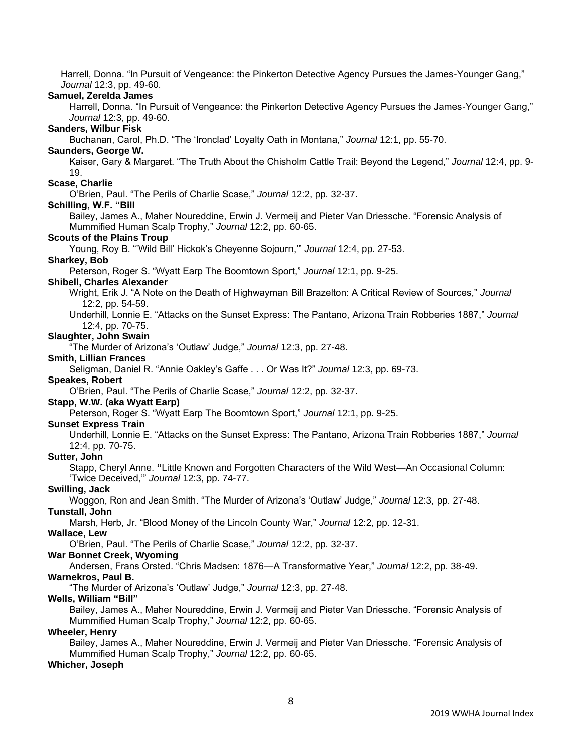Harrell, Donna. "In Pursuit of Vengeance: the Pinkerton Detective Agency Pursues the James-Younger Gang," *Journal* 12:3, pp. 49-60.

### **Samuel, Zerelda James**

Harrell, Donna. "In Pursuit of Vengeance: the Pinkerton Detective Agency Pursues the James-Younger Gang," *Journal* 12:3, pp. 49-60.

# **Sanders, Wilbur Fisk**

Buchanan, Carol, Ph.D. "The 'Ironclad' Loyalty Oath in Montana," *Journal* 12:1, pp. 55-70.

# **Saunders, George W.**

Kaiser, Gary & Margaret. "The Truth About the Chisholm Cattle Trail: Beyond the Legend," *Journal* 12:4, pp. 9- 19.

#### **Scase, Charlie**

O'Brien, Paul. "The Perils of Charlie Scase," *Journal* 12:2, pp. 32-37.

### **Schilling, W.F. "Bill**

Bailey, James A., Maher Noureddine, Erwin J. Vermeij and Pieter Van Driessche. "Forensic Analysis of Mummified Human Scalp Trophy," *Journal* 12:2, pp. 60-65.

#### **Scouts of the Plains Troup**

Young, Roy B. "'Wild Bill' Hickok's Cheyenne Sojourn,'" *Journal* 12:4, pp. 27-53.

#### **Sharkey, Bob**

Peterson, Roger S. "Wyatt Earp The Boomtown Sport," *Journal* 12:1, pp. 9-25.

#### **Shibell, Charles Alexander**

- Wright, Erik J. "A Note on the Death of Highwayman Bill Brazelton: A Critical Review of Sources," *Journal*  12:2, pp. 54-59.
- Underhill, Lonnie E. "Attacks on the Sunset Express: The Pantano, Arizona Train Robberies 1887," *Journal*  12:4, pp. 70-75.

# **Slaughter, John Swain**

"The Murder of Arizona's 'Outlaw' Judge," *Journal* 12:3, pp. 27-48.

#### **Smith, Lillian Frances**

Seligman, Daniel R. "Annie Oakley's Gaffe . . . Or Was It?" *Journal* 12:3, pp. 69-73.

### **Speakes, Robert**

O'Brien, Paul. "The Perils of Charlie Scase," *Journal* 12:2, pp. 32-37.

# **Stapp, W.W. (aka Wyatt Earp)**

Peterson, Roger S. "Wyatt Earp The Boomtown Sport," *Journal* 12:1, pp. 9-25.

#### **Sunset Express Train**

Underhill, Lonnie E. "Attacks on the Sunset Express: The Pantano, Arizona Train Robberies 1887," *Journal*  12:4, pp. 70-75.

#### **Sutter, John**

Stapp, Cheryl Anne. **"**Little Known and Forgotten Characters of the Wild West—An Occasional Column: 'Twice Deceived,'" *Journal* 12:3, pp. 74-77.

#### **Swilling, Jack**

Woggon, Ron and Jean Smith. "The Murder of Arizona's 'Outlaw' Judge," *Journal* 12:3, pp. 27-48.

### **Tunstall, John**

Marsh, Herb, Jr. "Blood Money of the Lincoln County War," *Journal* 12:2, pp. 12-31.

# **Wallace, Lew**

O'Brien, Paul. "The Perils of Charlie Scase," *Journal* 12:2, pp. 32-37.

# **War Bonnet Creek, Wyoming**

Andersen, Frans Orsted. "Chris Madsen: 1876—A Transformative Year," *Journal* 12:2, pp. 38-49.

# **Warnekros, Paul B.**

"The Murder of Arizona's 'Outlaw' Judge," *Journal* 12:3, pp. 27-48.

# **Wells, William "Bill"**

Bailey, James A., Maher Noureddine, Erwin J. Vermeij and Pieter Van Driessche. "Forensic Analysis of Mummified Human Scalp Trophy," *Journal* 12:2, pp. 60-65.

# **Wheeler, Henry**

Bailey, James A., Maher Noureddine, Erwin J. Vermeij and Pieter Van Driessche. "Forensic Analysis of Mummified Human Scalp Trophy," *Journal* 12:2, pp. 60-65.

# **Whicher, Joseph**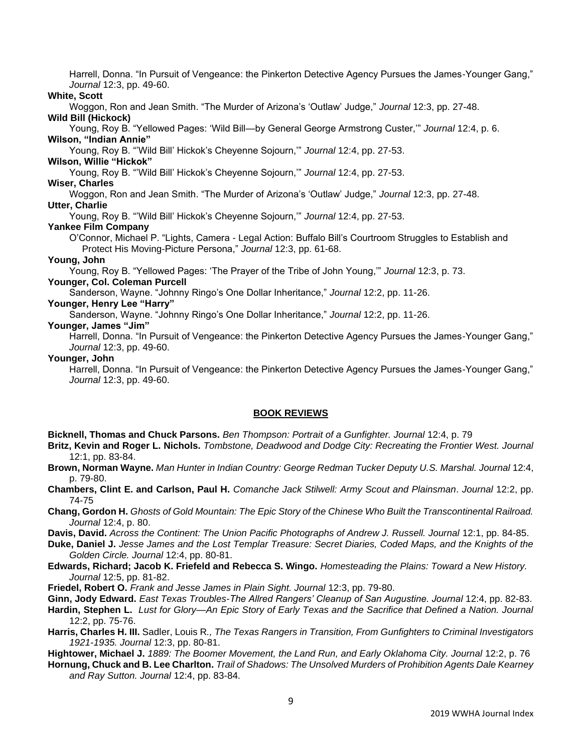Harrell, Donna. "In Pursuit of Vengeance: the Pinkerton Detective Agency Pursues the James-Younger Gang," *Journal* 12:3, pp. 49-60.

# **White, Scott**

Woggon, Ron and Jean Smith. "The Murder of Arizona's 'Outlaw' Judge," *Journal* 12:3, pp. 27-48.

### **Wild Bill (Hickock)**

Young, Roy B. "Yellowed Pages: 'Wild Bill—by General George Armstrong Custer,'" *Journal* 12:4, p. 6. **Wilson, "Indian Annie"**

Young, Roy B. "'Wild Bill' Hickok's Cheyenne Sojourn,'" *Journal* 12:4, pp. 27-53.

# **Wilson, Willie "Hickok"**

Young, Roy B. "'Wild Bill' Hickok's Cheyenne Sojourn,'" *Journal* 12:4, pp. 27-53.

# **Wiser, Charles**

Woggon, Ron and Jean Smith. "The Murder of Arizona's 'Outlaw' Judge," *Journal* 12:3, pp. 27-48. **Utter, Charlie**

Young, Roy B. "'Wild Bill' Hickok's Cheyenne Sojourn,'" *Journal* 12:4, pp. 27-53.

# **Yankee Film Company**

O'Connor, Michael P. "Lights, Camera - Legal Action: Buffalo Bill's Courtroom Struggles to Establish and Protect His Moving-Picture Persona," *Journal* 12:3, pp. 61-68.

# **Young, John**

Young, Roy B. "Yellowed Pages: 'The Prayer of the Tribe of John Young,'" *Journal* 12:3, p. 73.

# **Younger, Col. Coleman Purcell**

Sanderson, Wayne. "Johnny Ringo's One Dollar Inheritance," *Journal* 12:2, pp. 11-26.

# **Younger, Henry Lee "Harry"**

Sanderson, Wayne. "Johnny Ringo's One Dollar Inheritance," *Journal* 12:2, pp. 11-26.

# **Younger, James "Jim"**

Harrell, Donna. "In Pursuit of Vengeance: the Pinkerton Detective Agency Pursues the James-Younger Gang," *Journal* 12:3, pp. 49-60.

### **Younger, John**

Harrell, Donna. "In Pursuit of Vengeance: the Pinkerton Detective Agency Pursues the James-Younger Gang," *Journal* 12:3, pp. 49-60.

# **BOOK REVIEWS**

**Bicknell, Thomas and Chuck Parsons.** *Ben Thompson: Portrait of a Gunfighter. Journal* 12:4, p. 79

**Britz, Kevin and Roger L. Nichols.** *Tombstone, Deadwood and Dodge City: Recreating the Frontier West. Journal*  12:1, pp. 83-84.

- **Brown, Norman Wayne.** *Man Hunter in Indian Country: George Redman Tucker Deputy U.S. Marshal. Journal* 12:4, p. 79-80.
- **Chambers, Clint E. and Carlson, Paul H.** *Comanche Jack Stilwell: Army Scout and Plainsman*. *Journal* 12:2, pp. 74-75
- **Chang, Gordon H.** *Ghosts of Gold Mountain: The Epic Story of the Chinese Who Built the Transcontinental Railroad. Journal* 12:4, p. 80.
- Davis, David. *Across the Continent: The Union Pacific Photographs of Andrew J. Russell. Journal 12:1, pp. 84-85.*

**Duke, Daniel J.** *Jesse James and the Lost Templar Treasure: Secret Diaries, Coded Maps, and the Knights of the Golden Circle. Journal* 12:4, pp. 80-81.

- **Edwards, Richard; Jacob K. Friefeld and Rebecca S. Wingo.** *Homesteading the Plains: Toward a New History. Journal* 12:5, pp. 81-82.
- **Friedel, Robert O.** *Frank and Jesse James in Plain Sight. Journal* 12:3, pp. 79-80.
- **Ginn, Jody Edward.** *East Texas Troubles-The Allred Rangers' Cleanup of San Augustine. Journal* 12:4, pp. 82-83.

**Hardin, Stephen L.** *Lust for Glory—An Epic Story of Early Texas and the Sacrifice that Defined a Nation. Journal*  12:2, pp. 75-76.

**Harris, Charles H. III.** Sadler, Louis R*., The Texas Rangers in Transition, From Gunfighters to Criminal Investigators 1921-1935. Journal* 12:3, pp. 80-81.

**Hightower, Michael J.** 1889: The Boomer Movement, the Land Run, and Early Oklahoma City. Journal 12:2, p. 76

**Hornung, Chuck and B. Lee Charlton.** *Trail of Shadows: The Unsolved Murders of Prohibition Agents Dale Kearney and Ray Sutton. Journal* 12:4, pp. 83-84.